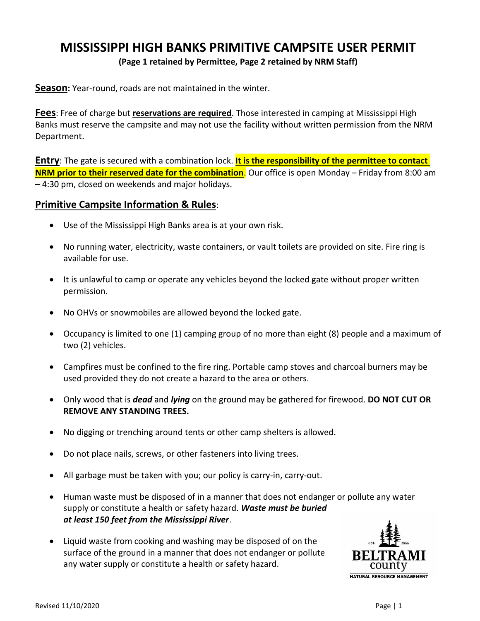## **MISSISSIPPI HIGH BANKS PRIMITIVE CAMPSITE USER PERMIT**

**(Page 1 retained by Permittee, Page 2 retained by NRM Staff)**

**Season:** Year-round, roads are not maintained in the winter.

**Fees**: Free of charge but **reservations are required**. Those interested in camping at Mississippi High Banks must reserve the campsite and may not use the facility without written permission from the NRM Department.

**Entry**: The gate is secured with a combination lock. **It is the responsibility of the permittee to contact NRM prior to their reserved date for the combination**. Our office is open Monday – Friday from 8:00 am – 4:30 pm, closed on weekends and major holidays.

## **Primitive Campsite Information & Rules**:

- Use of the Mississippi High Banks area is at your own risk.
- No running water, electricity, waste containers, or vault toilets are provided on site. Fire ring is available for use.
- It is unlawful to camp or operate any vehicles beyond the locked gate without proper written permission.
- No OHVs or snowmobiles are allowed beyond the locked gate.
- Occupancy is limited to one (1) camping group of no more than eight (8) people and a maximum of two (2) vehicles.
- Campfires must be confined to the fire ring. Portable camp stoves and charcoal burners may be used provided they do not create a hazard to the area or others.
- Only wood that is *dead* and *lying* on the ground may be gathered for firewood. **DO NOT CUT OR REMOVE ANY STANDING TREES.**
- No digging or trenching around tents or other camp shelters is allowed.
- Do not place nails, screws, or other fasteners into living trees.
- All garbage must be taken with you; our policy is carry-in, carry-out.
- Human waste must be disposed of in a manner that does not endanger or pollute any water supply or constitute a health or safety hazard. *Waste must be buried at least 150 feet from the Mississippi River*.
- Liquid waste from cooking and washing may be disposed of on the surface of the ground in a manner that does not endanger or pollute any water supply or constitute a health or safety hazard.